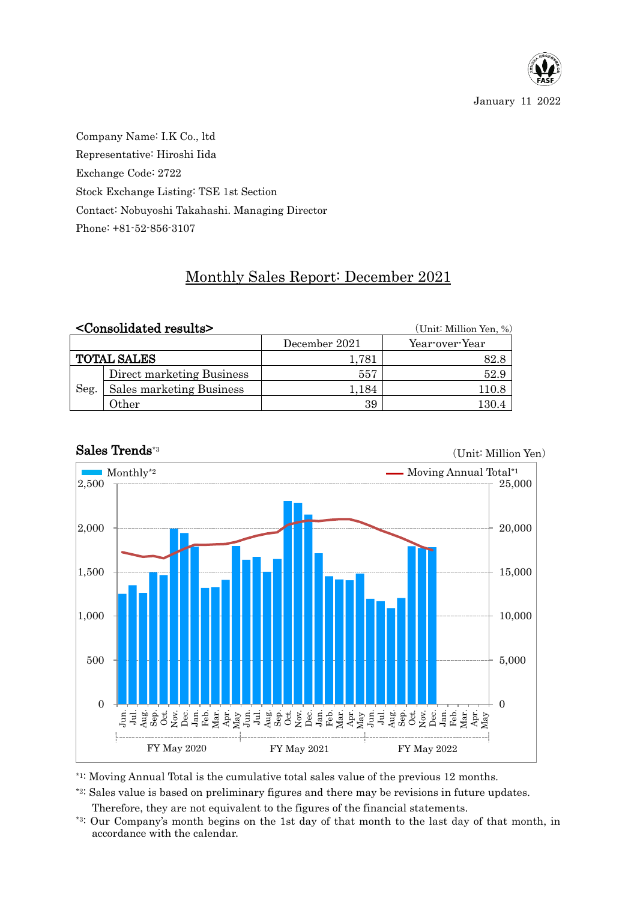

(Unit: Million Yen)

Company Name: I.K Co., ltd Representative: Hiroshi Iida Exchange Code: 2722 Stock Exchange Listing: TSE 1st Section Contact: Nobuyoshi Takahashi. Managing Director Phone: +81-52-856-3107

## Monthly Sales Report: December 2021

|                    | <consolidated results=""></consolidated> | (Unit: Million Yen, %) |                |  |
|--------------------|------------------------------------------|------------------------|----------------|--|
|                    |                                          | December 2021          | Year-over-Year |  |
| <b>TOTAL SALES</b> |                                          | 1.781                  | 82.8           |  |
| Seg.               | Direct marketing Business                | 557                    | 52.9           |  |
|                    | Sales marketing Business                 | 1,184                  | 110.8          |  |
|                    | Other                                    | 39                     | $130.4\,$      |  |



## Sales Trends\*3

\*1: Moving Annual Total is the cumulative total sales value of the previous 12 months.

\*2: Sales value is based on preliminary figures and there may be revisions in future updates.

Therefore, they are not equivalent to the figures of the financial statements.

\*3: Our Company's month begins on the 1st day of that month to the last day of that month, in accordance with the calendar.